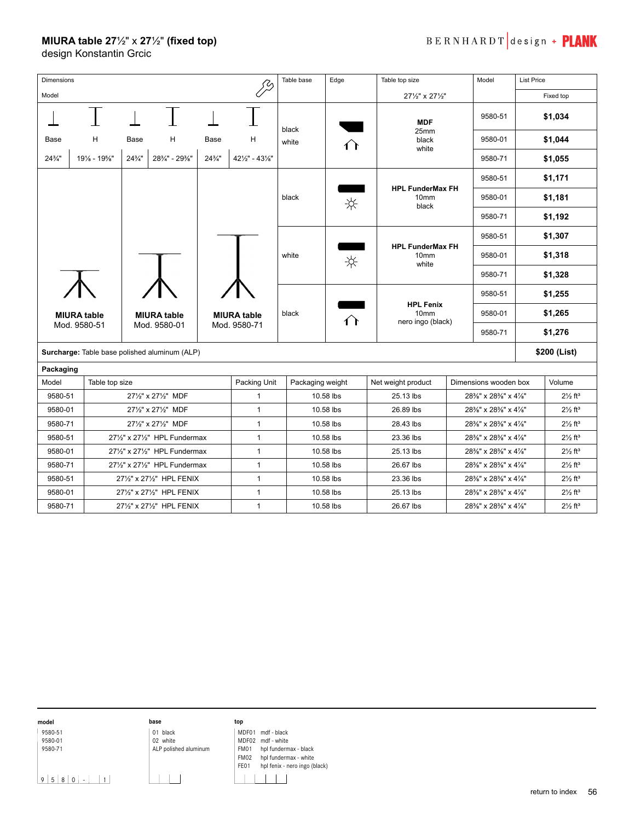## **MIURA table 27**½" x **27**½ʺ **(fixed top)**

design Konstantin Grcic

| <b>Dimensions</b>                             |                |                                                                                |                           |                   |                                       | Table base<br>Edge       |                                             | Table top size                  |                       | Model   | <b>List Price</b> |                                |
|-----------------------------------------------|----------------|--------------------------------------------------------------------------------|---------------------------|-------------------|---------------------------------------|--------------------------|---------------------------------------------|---------------------------------|-----------------------|---------|-------------------|--------------------------------|
| Model                                         |                |                                                                                |                           |                   |                                       |                          |                                             | 271/2" x 271/2"                 |                       |         |                   | Fixed top                      |
|                                               |                |                                                                                |                           |                   |                                       | black                    |                                             | <b>MDF</b>                      |                       | 9580-51 |                   | \$1,034                        |
| Base                                          | н              | Base<br>н                                                                      |                           | Base              | н                                     | white                    |                                             | 25mm<br>black                   |                       | 9580-01 |                   | \$1,044                        |
| $24\frac{3}{4}$ "                             | 191/8 - 195/8" | $24\frac{3}{4}$ "                                                              | 28%" - 29%"               | $24\frac{3}{4}$ " | $42\frac{1}{2}$ " - $43\frac{1}{8}$ " |                          |                                             | white                           |                       | 9580-71 | \$1,055           |                                |
|                                               |                |                                                                                |                           |                   |                                       |                          |                                             |                                 |                       | 9580-51 |                   | \$1,171                        |
|                                               |                |                                                                                |                           |                   | black                                 |                          | <b>HPL FunderMax FH</b><br>10 <sub>mm</sub> |                                 | 9580-01               | \$1,181 |                   |                                |
|                                               |                |                                                                                |                           |                   |                                       |                          | ☆                                           | black                           |                       | 9580-71 | \$1,192           |                                |
|                                               |                | <b>MIURA table</b><br><b>MIURA table</b><br><b>MIURA table</b><br>Mod. 9580-01 |                           |                   |                                       |                          |                                             |                                 | 9580-51               |         | \$1,307           |                                |
|                                               |                |                                                                                |                           |                   |                                       | white                    |                                             | <b>HPL FunderMax FH</b><br>10mm |                       | 9580-01 | \$1,318           |                                |
|                                               |                |                                                                                |                           |                   |                                       | ☆                        | white                                       |                                 | 9580-71               | \$1,328 |                   |                                |
|                                               |                |                                                                                |                           |                   |                                       |                          |                                             |                                 |                       | \$1,255 |                   |                                |
|                                               |                |                                                                                |                           | black             |                                       | <b>HPL Fenix</b><br>10mm |                                             | 9580-51<br>9580-01              |                       | \$1,265 |                   |                                |
|                                               | Mod. 9580-51   |                                                                                |                           | Mod. 9580-71      |                                       | ∩                        | nero ingo (black)                           |                                 | 9580-71               | \$1,276 |                   |                                |
|                                               |                |                                                                                |                           |                   |                                       |                          |                                             |                                 |                       |         |                   |                                |
| Surcharge: Table base polished aluminum (ALP) |                |                                                                                |                           |                   |                                       |                          |                                             |                                 |                       |         |                   | \$200 (List)                   |
| Packaging                                     |                |                                                                                |                           |                   | Packing Unit                          |                          |                                             |                                 |                       |         |                   |                                |
| Model                                         |                | Table top size<br>271/2" x 271/2" MDF                                          |                           |                   |                                       | Packaging weight         |                                             | Net weight product              | Dimensions wooden box |         |                   | Volume                         |
| 9580-51                                       |                |                                                                                |                           |                   | $\mathbf{1}$<br>$\mathbf{1}$          |                          | 10.58 lbs                                   | 25.13 lbs                       | 28%" x 28%" x 4%"     |         |                   | $2\frac{1}{2}$ ft <sup>3</sup> |
| 9580-01                                       |                | 271/2" x 271/2" MDF                                                            |                           |                   |                                       |                          | 10.58 lbs                                   | 26.89 lbs                       | 28%" x 28%" x 4%"     |         |                   | $2\frac{1}{2}$ ft <sup>3</sup> |
| 9580-71                                       |                | 271/2" x 271/2" MDF                                                            |                           |                   |                                       |                          | 10.58 lbs                                   | 28.43 lbs                       | 28%" x 28%" x 4%"     |         |                   | $2\frac{1}{2}$ ft <sup>3</sup> |
| 9580-51                                       |                | 271/2" x 271/2" HPL Fundermax                                                  |                           |                   |                                       | 10.58 lbs                |                                             | 23.36 lbs                       | 28%" x 28%" x 4%"     |         |                   | $2\frac{1}{2}$ ft <sup>3</sup> |
| 9580-01                                       |                | $\mathbf{1}$<br>271/2" x 271/2" HPL Fundermax<br>$\mathbf{1}$                  |                           |                   |                                       |                          | 10.58 lbs                                   | 25.13 lbs                       | 28%" x 28%" x 4%"     |         |                   | $2\frac{1}{2}$ ft <sup>3</sup> |
| 9580-71                                       |                | 271/2" x 271/2" HPL Fundermax                                                  |                           |                   |                                       |                          | 10.58 lbs                                   | 26.67 lbs                       | 28%" x 28%" x 4%"     |         |                   | $2\frac{1}{2}$ ft <sup>3</sup> |
| 9580-51                                       |                | 271/2" x 271/2" HPL FENIX                                                      |                           |                   |                                       |                          | 10.58 lbs                                   | 23.36 lbs                       | 28%" x 28%" x 4%"     |         |                   | $2\frac{1}{2}$ ft <sup>3</sup> |
| 9580-01                                       |                | $\mathbf{1}$<br>271/2" x 271/2" HPL FENIX                                      |                           |                   |                                       |                          | 10.58 lbs                                   | 25.13 lbs                       | 28%" x 28%" x 4%"     |         |                   | $2\frac{1}{2}$ ft <sup>3</sup> |
| 9580-71                                       |                |                                                                                | 271/2" x 271/2" HPL FENIX |                   | $\mathbf{1}$                          | 10.58 lbs                |                                             | 26.67 lbs                       | 28%" x 28%" x 4%"     |         |                   | $2\frac{1}{2}$ ft <sup>3</sup> |

**model** 9580-51

9580-01 9580-71



**top** | MDF01 mdf - black MDF02 mdf - white

 $9 5 8 0 - 11$ 

ALP polished aluminum  $\mathbf{1}$ 

FM01 hpl fundermax - black FM02 hpl fundermax - white FE01 hpl fenix - nero ingo (black)